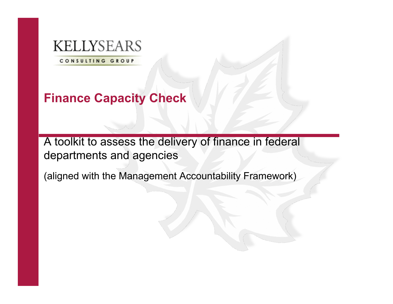# **KELLYSEARS**

CONSULTING GROUP

# **Finance Capacity Check**

A toolkit to assess the delivery of finance in federal departments and agencies

(aligned with the Management Accountability Framework)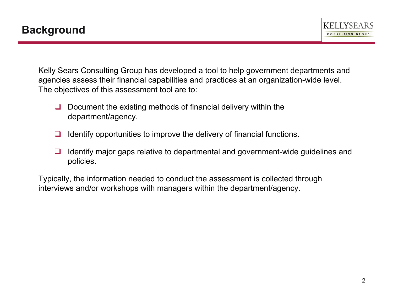Kelly Sears Consulting Group has developed a tool to help government departments and agencies assess their financial capabilities and practices at an organization-wide level. The objectives of this assessment tool are to:

- $\Box$  Document the existing methods of financial delivery within the department/agency.
- $\Box$  Identify opportunities to improve the delivery of financial functions.
- $\Box$  Identify major gaps relative to departmental and government-wide guidelines and policies.

Typically, the information needed to conduct the assessment is collected through interviews and/or workshops with managers within the department/agency.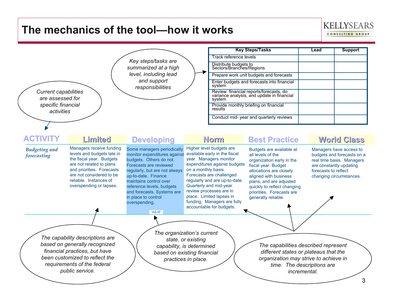### **The mechanics of the tool—how it works**



**KELLYSEARS** CONSULTING GROUP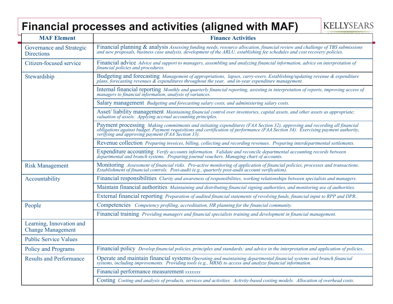### **Financial processes and activities (aligned with MAF)**

**KELLYSEARS** 

| <b>MAF Element</b>                                                                                                                                                                                                                                               | <b>Finance Activities</b>                                                                                                                                                                                                         |
|------------------------------------------------------------------------------------------------------------------------------------------------------------------------------------------------------------------------------------------------------------------|-----------------------------------------------------------------------------------------------------------------------------------------------------------------------------------------------------------------------------------|
| Governance and Strategic<br><b>Directions</b>                                                                                                                                                                                                                    | Financial planning & analysis Assessing funding needs, resource allocation, financial review and challenge of TBS submissions and new proposals, business case analysis, development of the ARLU, establishing fee schedules a    |
| Citizen-focused service                                                                                                                                                                                                                                          | Financial advice Advice and support to managers, assembling and analyzing financial information, advice on interpretation of<br>financial policies and procedures.                                                                |
| Stewardship                                                                                                                                                                                                                                                      | Budgeting and forecasting Management of appropriations, lapses, carry-overs. Establishing/updating revenue & expenditure plans, forecasting revenues & expenditures throughout the year, and in-year expenditure management.      |
|                                                                                                                                                                                                                                                                  | Internal financial reporting Monthly and quarterly financial reporting, assisting in interpretation of reports, improving access of managers to financial information, analysis of variances.                                     |
|                                                                                                                                                                                                                                                                  | Salary management <i>Budgeting and forecasting salary costs, and administering salary costs.</i>                                                                                                                                  |
|                                                                                                                                                                                                                                                                  | Asset/ liability management Maintaining financial control over inventories, capital assets, and other assets as appropriate; valuation of assets. Applying accrual accounting principles.                                         |
|                                                                                                                                                                                                                                                                  | Payment processing Making commitments and initiating expenditures (FAA Section 32), approving and recording all financial obligations against budget. Payment requisitions and certification of performance (FAA Section 34).     |
|                                                                                                                                                                                                                                                                  | Revenue collection Preparing invoices, billing, collecting and recording revenues. Preparing interdepartmental settlements.                                                                                                       |
|                                                                                                                                                                                                                                                                  | Expenditure accounting Verify accounts information. Validate and reconcile departmental accounting records between<br>departmental and branch systems. Preparing journal vouchers. Managing chart of accounts.                    |
| <b>Risk Management</b>                                                                                                                                                                                                                                           | Monitoring Assessment of financial risks. Pro-active monitoring of application of financial policies, processes and transactions.<br>Establishment of financial controls. Post-audit (e.g., quarterly post-audit account verifica |
| Accountability                                                                                                                                                                                                                                                   | Financial responsibilities <i>Clarity and awareness of responsibilities</i> , <i>working relationships between specialists and managers</i> .                                                                                     |
|                                                                                                                                                                                                                                                                  | Maintain financial authorities Maintaining and distributing financial signing authorities, and monitoring use of authorities.                                                                                                     |
|                                                                                                                                                                                                                                                                  | External financial reporting <i>Preparation of audited financial statements of revolving funds, financial input to RPP and DPR</i> .                                                                                              |
| People                                                                                                                                                                                                                                                           | Competencies Competency profiling, accreditation, HR planning for the financial community.                                                                                                                                        |
|                                                                                                                                                                                                                                                                  | Financial training <i>Providing managers and financial specialists training and development in financial management</i> .                                                                                                         |
| Learning, Innovation and<br><b>Change Management</b>                                                                                                                                                                                                             |                                                                                                                                                                                                                                   |
| <b>Public Service Values</b>                                                                                                                                                                                                                                     |                                                                                                                                                                                                                                   |
| Policy and Programs                                                                                                                                                                                                                                              | Financial policy Develop financial policies, principles and standards; and advice in the interpretation and application of policies                                                                                               |
| <b>Results and Performance</b><br>Operate and maintain financial systems Operating and maintaining departmental financial systems and branch financial systems, including improvements. Providing tools (e.g., MRM) to access and analyze financial information. |                                                                                                                                                                                                                                   |
|                                                                                                                                                                                                                                                                  | Financial performance measurement xxxxxxx                                                                                                                                                                                         |
|                                                                                                                                                                                                                                                                  | Costing Costing and analysis of products, services and activities. Activity-based costing models. Allocation of overhead costs.                                                                                                   |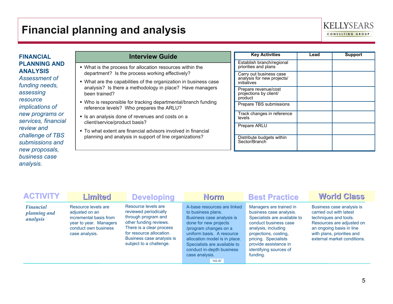### **Financial planning and analysis**



**FINANCIAL PLANNING AND ANALYSIS**

*Assessment of funding needs, assessing resource implications of new programs or services, financial review and challenge of TBS submissions and new proposals, business case analysis.*

| <b>Interview Guide</b>                                                                                                                        | <b>Key Activities</b>                                         | Lead | <b>Support</b> |
|-----------------------------------------------------------------------------------------------------------------------------------------------|---------------------------------------------------------------|------|----------------|
| . What is the process for allocation resources within the                                                                                     | Establish branch/regional<br>priorities and plans             |      |                |
| department? Is the process working effectively?                                                                                               | Carry out business case<br>analysis for new projects/         |      |                |
| • What are the capabilities of the organization in business case<br>analysis? Is there a methodology in place? Have managers<br>been trained? | initiatives<br>Prepare revenue/cost<br>projections by client/ |      |                |
| • Who is responsible for tracking departmental/branch funding<br>reference levels? Who prepares the ARLU?                                     | product<br>Prepare TBS submissions                            |      |                |
| • Is an analysis done of revenues and costs on a<br>client/service/product basis?                                                             | Track changes in reference<br>levels                          |      |                |
| • To what extent are financial advisors involved in financial                                                                                 | Prepare ARLU                                                  |      |                |
| planning and analysis in support of line organizations?                                                                                       | Distribute budgets within<br>Sector/Branch                    |      |                |

| <b>ACTIVITY</b>                              | Limited                                                                                                                             | <b>Developing</b>                                                                                                                                                                                             | Norm                                                                                                                                                                                                                                                                                     | <b>Best Practice</b>                                                                                                                                                                                                                               | <b>World Class</b>                                                                                                                                                                                  |
|----------------------------------------------|-------------------------------------------------------------------------------------------------------------------------------------|---------------------------------------------------------------------------------------------------------------------------------------------------------------------------------------------------------------|------------------------------------------------------------------------------------------------------------------------------------------------------------------------------------------------------------------------------------------------------------------------------------------|----------------------------------------------------------------------------------------------------------------------------------------------------------------------------------------------------------------------------------------------------|-----------------------------------------------------------------------------------------------------------------------------------------------------------------------------------------------------|
| <b>Financial</b><br>planning and<br>analysis | Resource levels are<br>adjusted on an<br>incremental basis from<br>year to year. Managers<br>conduct own business<br>case analysis. | Resource levels are<br>reviewed periodically<br>through program and<br>other funding reviews.<br>There is a clear process<br>for resource allocation.<br>Business case analysis is<br>subject to a challenge. | A-base resources are linked<br>to business plans.<br>Business case analysis is<br>done for new projects<br>/program changes on a<br>uniform basis. A resource<br>allocation model is in place.<br>Specialists are available to<br>conduct in-depth business<br>case analysis.<br>"AS-IS" | Managers are trained in<br>business case analysis.<br>Specialists are available to<br>conduct business case<br>analysis, including<br>projections, costing,<br>pricing. Specialists<br>provide assistance in<br>identifying sources of<br>funding. | Business case analysis is<br>carried out with latest<br>techniques and tools.<br>Resources are adjusted on<br>an ongoing basis in line<br>with plans, priorities and<br>external market conditions. |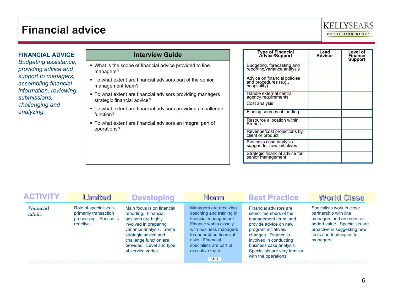### **Financial advice**



**FINANCIAL ADVICE** *Budgeting assistance, providing advice and support to managers, assembling financial information, reviewing submissions, challenging and analyzing.*

- What is the scope of financial advice provided to line managers?
- To what extent are financial advisors part of the senior management team?
- $\blacksquare$  To what extent are financial advisors providing managers strategic financial advice?
- To what extent are financial advisors providing a challenge function?
- To what extent are financial advisors an integral part of operations?

| Type of Financial<br>Advice/Support                                   | Lead<br>Advisor | Level of<br>Finance<br>Support |
|-----------------------------------------------------------------------|-----------------|--------------------------------|
| Budgeting, forecasting and<br>reporting/variance analysis             |                 |                                |
| Advice on financial policies<br>and procedures (e.g.,<br>hospitality) |                 |                                |
| Handle external central<br>agency requirements                        |                 |                                |
| Cost analysis                                                         |                 |                                |
| Finding sources of funding                                            |                 |                                |
| Resource allocation within<br>Branch                                  |                 |                                |
| Revenue/cost projections by<br>client or product                      |                 |                                |
| Business case analysis<br>support for new initiatives                 |                 |                                |
| Strategic financial advice for<br>senior management                   |                 |                                |

| <b>ACTIVITY</b>            | Limited                                                                                | <b>Developing</b>                                                                                                                                                                                                                 | <b>Norm</b>                                                                                                                                                                                                                            | <b>Best Practice</b>                                                                                                                                                                                                                                          | <b>World Class</b>                                                                                                                                                                    |
|----------------------------|----------------------------------------------------------------------------------------|-----------------------------------------------------------------------------------------------------------------------------------------------------------------------------------------------------------------------------------|----------------------------------------------------------------------------------------------------------------------------------------------------------------------------------------------------------------------------------------|---------------------------------------------------------------------------------------------------------------------------------------------------------------------------------------------------------------------------------------------------------------|---------------------------------------------------------------------------------------------------------------------------------------------------------------------------------------|
| <b>Financial</b><br>advice | Role of specialists is<br>primarily transaction<br>processing. Service is<br>reactive. | Main focus is on financial<br>reporting. Financial<br>advisors are highly<br>involved in preparing<br>variance analysis. Some<br>strategic advice and<br>challenge function are<br>provided. Level and type<br>of service varies. | Managers are receiving<br>coaching and training in<br>financial management.<br>Finance works closely<br>with business managers<br>to understand financial<br>risks. Financial<br>specialists are part of<br>executive team.<br>"AS-IS" | Financial advisors are<br>senior members of the<br>management team, and<br>provide advice on new<br>program initiatives/<br>changes. Finance is<br>involved in conducting<br>business case analysis.<br>Specialists are very familiar<br>with the operations. | Specialists work in close<br>partnership with line<br>managers and are seen as<br>added-value. Specialists are<br>proactive in suggesting new<br>tools and techniques to<br>managers. |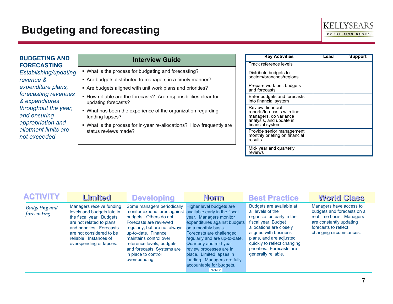### **Budgeting and forecasting**



#### **BUDGETING AND FORECASTING**

*Establishing/updating revenue & expenditure plans, forecasting revenues & expenditures throughout the year, and ensuring appropriation and allotment limits are not exceeded*

- What is the process for budgeting and forecasting?
- Are budgets distributed to managers in a timely manner?
- Are budgets aligned with unit work plans and priorities?
- How reliable are the forecasts? Are responsibilities clear for updating forecasts?
- What has been the experience of the organization regarding funding lapses?
- What is the process for in-year re-allocations? How frequently are status reviews made?

| <b>Key Activities</b>                                                                                                   | Lead | <b>Support</b> |
|-------------------------------------------------------------------------------------------------------------------------|------|----------------|
| Track reference levels                                                                                                  |      |                |
| Distribute budgets to<br>sectors/branches/regions                                                                       |      |                |
| Prepare work unit budgets<br>and forecasts                                                                              |      |                |
| Enter budgets and forecasts<br>into financial system                                                                    |      |                |
| Review financial<br>reports/forecasts with line<br>managers, do variance<br>analysis, and update in<br>financial system |      |                |
| Provide senior management<br>monthly briefing on financial<br>results                                                   |      |                |
| Mid-year and quarterly<br>reviews                                                                                       |      |                |

| <b>ACTIVITY</b>                     | Limited                                                                                                                                                                                                                      | <b>Developing</b>                                                                                                                                                                                                                                                                                                                  | <b>Norm</b>                                                                                                                                                                                                                                                                                                                   | <b>Best Practice</b>                                                                                                                                                                                                                                                | <b>World Class</b>                                                                                                                                               |
|-------------------------------------|------------------------------------------------------------------------------------------------------------------------------------------------------------------------------------------------------------------------------|------------------------------------------------------------------------------------------------------------------------------------------------------------------------------------------------------------------------------------------------------------------------------------------------------------------------------------|-------------------------------------------------------------------------------------------------------------------------------------------------------------------------------------------------------------------------------------------------------------------------------------------------------------------------------|---------------------------------------------------------------------------------------------------------------------------------------------------------------------------------------------------------------------------------------------------------------------|------------------------------------------------------------------------------------------------------------------------------------------------------------------|
| <b>Budgeting and</b><br>forecasting | Managers receive funding<br>levels and budgets late in<br>the fiscal year. Budgets<br>are not related to plans<br>and priorities. Forecasts<br>are not considered to be<br>reliable. Instances of<br>overspending or lapses. | Some managers periodically<br>monitor expenditures against available early in the fiscal<br>budgets. Others do not.<br>Forecasts are reviewed<br>regularly, but are not always<br>up-to-date. Finance<br>maintains control over<br>reference levels, budgets<br>and forecasts. Systems are<br>in place to control<br>overspending. | Higher level budgets are<br>year. Managers monitor<br>expenditures against budgets<br>on a monthly basis.<br>Forecasts are challenged<br>regularly and are up-to-date.<br>Quarterly and mid-year<br>review processes are in<br>place. Limited lapses in<br>funding. Managers are fully<br>accountable for budgets.<br>"AS-IS" | Budgets are available at<br>all levels of the<br>organization early in the<br>fiscal year. Budget<br>allocations are closely<br>aligned with business<br>plans, and are adjusted<br>quickly to reflect changing<br>priorities. Forecasts are<br>generally reliable. | Managers have access to<br>budgets and forecasts on a<br>real time basis. Managers<br>are constantly updating<br>forecasts to reflect<br>changing circumstances. |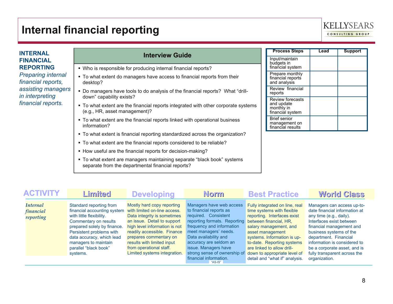### **Internal financial reporting**



#### **INTERNAL FINANCIAL REPORTING**

*Preparing internal financial reports, assisting managers in interpreting financial reports.*

- Who is responsible for producing internal financial reports?
- $\blacksquare$  To what extent do managers have access to financial reports from their desktop?
- Do managers have tools to do analysis of the financial reports? What "drilldown" capability exists?
- To what extent are the financial reports integrated with other corporate systems (e.g., HR, asset management)?
- To what extent are the financial reports linked with operational business information?
- To what extent is financial reporting standardized across the organization?
- To what extent are the financial reports considered to be reliable?
- How useful are the financial reports for decision-making?
- To what extent are managers maintaining separate "black book" systems separate from the departmental financial reports?

| <b>Process Steps</b>                                                    | Lead | <b>Support</b> |
|-------------------------------------------------------------------------|------|----------------|
| Input/maintain<br>budgets in<br>financial system                        |      |                |
| Prepare monthly<br>financial reports<br>and analysis                    |      |                |
| Review financial<br>reports                                             |      |                |
| <b>Review forecasts</b><br>and update<br>monthly in<br>financial system |      |                |
| <b>Brief senior</b><br>management on<br>financial results               |      |                |

| <b>ACTIVITY</b>                           | Limited                                                                                                                                                                                                                                                          | <b>Developing</b>                                                                                                                                                                                                                                                                                           | Norm                                                                                                                                                                                                                                                                                                                | <b>Best Practice</b>                                                                                                                                                                                                                                                                                                             | <b>World Class</b>                                                                                                                                                                                                                                                                                                  |
|-------------------------------------------|------------------------------------------------------------------------------------------------------------------------------------------------------------------------------------------------------------------------------------------------------------------|-------------------------------------------------------------------------------------------------------------------------------------------------------------------------------------------------------------------------------------------------------------------------------------------------------------|---------------------------------------------------------------------------------------------------------------------------------------------------------------------------------------------------------------------------------------------------------------------------------------------------------------------|----------------------------------------------------------------------------------------------------------------------------------------------------------------------------------------------------------------------------------------------------------------------------------------------------------------------------------|---------------------------------------------------------------------------------------------------------------------------------------------------------------------------------------------------------------------------------------------------------------------------------------------------------------------|
| <b>Internal</b><br>financial<br>reporting | Standard reporting from<br>financial accounting system<br>with little flexibility.<br>Commentary on results<br>prepared solely by finance.<br>Persistent problems with<br>data accuracy, which lead<br>managers to maintain<br>parallel "black book"<br>systems. | Mostly hard copy reporting<br>with limited on-line access.<br>Data integrity is sometimes<br>an issue. Detail to support<br>high level information is not<br>readily accessible. Finance<br>prepares commentary on<br>results with limited input<br>from operational staff.<br>Limited systems integration. | Managers have web access<br>to financial reports as<br>required. Consistent<br>reporting formats. Reporting<br>frequency and information<br>meet managers' needs.<br>Data availability and<br>accuracy are seldom an<br>issue. Managers have<br>strong sense of ownership of<br>financial information.<br>$"AS-IS"$ | Fully integrated on line, real<br>time systems with flexible<br>reporting. Interfaces exist<br>between financial, HR,<br>salary management, and<br>asset management<br>systems. Information is up-<br>to-date. Reporting systems<br>are linked to allow drill-<br>down to appropriate level of<br>detail and "what if" analysis. | Managers can access up-to-<br>date financial information at<br>any time (e.g., daily).<br>Interfaces exist between<br>financial management and<br>business systems of the<br>department. Financial<br>information is considered to<br>be a corporate asset, and is<br>fully transparent across the<br>organization. |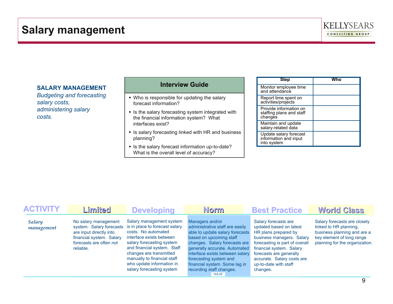

#### **SALARY MANAGEMENT**

*Budgeting and forecasting salary costs, administering salary costs.*

### **Interview Guide**

• Who is responsible for updating the salary forecast information?

- **In Is the salary forecasting system integrated with** the financial information system? What interfaces exist?
- In Is salary forecasting linked with HR and business planning?
- Is the salary forecast information up-to-date? What is the overall level of accuracy?

| <b>Step</b>                                                    | Who |
|----------------------------------------------------------------|-----|
| Monitor employee time<br>and attendance                        |     |
| Report time spent on<br>activities/projects                    |     |
| Provide information on<br>staffing plans and staff<br>changes  |     |
| Maintain and update<br>salary-related data                     |     |
| Update salary forecast<br>information and input<br>into system |     |

| <b>ACTIVITY</b>             | Limited                                                                                                                                         | <b>Developing</b>                                                                                                                                                                                                                                                                             | <b>Norm</b>                                                                                                                                                                                                                                                                                                             | <b>Best Practice</b>                                                                                                                                                                                                                                             | <b>World Class</b>                                                                                                                                   |
|-----------------------------|-------------------------------------------------------------------------------------------------------------------------------------------------|-----------------------------------------------------------------------------------------------------------------------------------------------------------------------------------------------------------------------------------------------------------------------------------------------|-------------------------------------------------------------------------------------------------------------------------------------------------------------------------------------------------------------------------------------------------------------------------------------------------------------------------|------------------------------------------------------------------------------------------------------------------------------------------------------------------------------------------------------------------------------------------------------------------|------------------------------------------------------------------------------------------------------------------------------------------------------|
| <b>Salary</b><br>management | No salary management<br>system. Salary forecasts<br>are input directly into<br>financial system. Salary<br>forecasts are often not<br>reliable. | Salary management system<br>is in place to forecast salary<br>costs. No automated<br>interface exists between<br>salary forecasting system<br>and financial system. Staff<br>changes are transmitted<br>manually to financial staff<br>who update information in<br>salary forecasting system | Managers and/or<br>administrative staff are easily<br>able to update salary forecasts<br>based on upcoming staff<br>changes. Salary forecasts are<br>generally accurate. Automated<br>interface exists between salary<br>forecasting system and<br>financial system. Some lag in<br>recording staff changes.<br>"AS-IS" | Salary forecasts are<br>updated based on latest<br>HR plans prepared by<br>business managers. Salary<br>forecasting is part of overall<br>financial system. Salary<br>forecasts are generally<br>accurate. Salary costs are<br>up-to-date with staff<br>changes. | Salary forecasts are closely<br>linked to HR planning.<br>business planning and are a<br>key element of long range<br>planning for the organization. |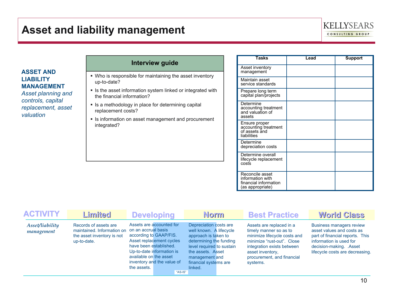### **Asset and liability management**



**ASSET AND LIABILITY MANAGEMENT**

*Asset planning and controls, capital replacement, asset valuation*

- Who is responsible for maintaining the asset inventory up-to-date?
- In Is the asset information system linked or integrated with the financial information?
- **E** Is a methodology in place for determining capital replacement costs?
- **Exercise is information on asset management and procurement** integrated?

| <b>Tasks</b>                                                                     | Lead | <b>Support</b> |
|----------------------------------------------------------------------------------|------|----------------|
| Asset inventory<br>management                                                    |      |                |
| Maintain asset<br>service standards                                              |      |                |
| Prepare long term<br>capital plan/projects                                       |      |                |
| Determine<br>accounting treatment<br>and valuation of<br>assets                  |      |                |
| Ensure proper<br>accounting treatment<br>of assets and<br>liabilities            |      |                |
| Determine<br>depreciation costs                                                  |      |                |
| Determine overall<br>lifecycle replacement<br>costs                              |      |                |
| Reconcile asset<br>information with<br>financial information<br>(as appropriate) |      |                |

| <b>ACTIVITY</b>               | Limited                                                                                          | <b>Developing</b>                                                                                                                                                                                                                   |         | <b>Norm</b>                                                                                                                                                                                                  | <b>Best Practice</b>                                                                                                                                                                                         | <b>World Class</b>                                                                                                                                                                      |
|-------------------------------|--------------------------------------------------------------------------------------------------|-------------------------------------------------------------------------------------------------------------------------------------------------------------------------------------------------------------------------------------|---------|--------------------------------------------------------------------------------------------------------------------------------------------------------------------------------------------------------------|--------------------------------------------------------------------------------------------------------------------------------------------------------------------------------------------------------------|-----------------------------------------------------------------------------------------------------------------------------------------------------------------------------------------|
| Asset/liability<br>management | Records of assets are<br>maintained. Information on<br>the asset inventory is not<br>up-to-date. | Assets are accounted for<br>on an accrual basis<br>according to GAAP/FIS.<br>Asset replacement cycles<br>have been established.<br>Up-to-date information is<br>available on the asset<br>inventory and the value of<br>the assets. | "AS-IS" | Depreciation costs are<br>well known. A lifecycle<br>approach is taken to<br>determining the funding<br>level required to sustain<br>the assets. Asset<br>management and<br>financial systems are<br>linked. | Assets are replaced in a<br>timely manner so as to<br>minimize lifecycle costs and<br>minimize "rust-out". Close<br>integration exists between<br>asset inventory,<br>procurement, and financial<br>systems. | <b>Business managers review</b><br>asset values and costs as<br>part of financial reports. This<br>information is used for<br>decision-making. Asset<br>lifecycle costs are decreasing. |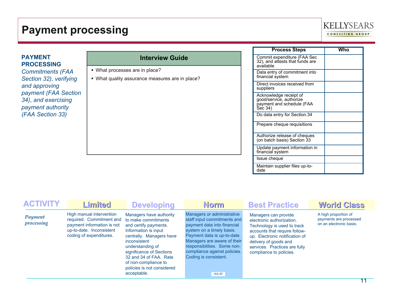### **Payment processing**



# **PROCESSING**

*Commitments (FAA Section 32), verifying and approving payment (FAA Section 34)*, *and exercising payment authority (FAA Section 33)* 

### **PAYMENT Interview Guide**

- What processes are in place?
- What quality assurance measures are in place?

| <b>Process Steps</b>                                                                      | Who |
|-------------------------------------------------------------------------------------------|-----|
| Commit expenditure (FAA Sec<br>32), and attests that funds are<br>available               |     |
| Data entry of commitment into<br>financial system                                         |     |
| Direct invoices received from<br>suppliers                                                |     |
| Acknowledge receipt of<br>good/service, authorize<br>payment and schedule (FAA<br>Sec 34) |     |
| Do data entry for Section.34                                                              |     |
| Prepare cheque requisitions                                                               |     |
| Authorize release of cheques<br>(on batch basis) Section 33                               |     |
| Update payment information in<br>financial system                                         |     |
| Issue cheque                                                                              |     |
| Maintain supplier files up-to-<br>date                                                    |     |

| <b>ACTIVITY</b>       | Limited                                                                                                                                   | <b>Developing</b>                                                                                                                                                                                                                                                                          | <b>Norm</b>                                                                                                                                                                                                                                                                            | <b>Best Practice</b>                                                                                                                                                                                                                     | <b>World Class</b>                                                        |
|-----------------------|-------------------------------------------------------------------------------------------------------------------------------------------|--------------------------------------------------------------------------------------------------------------------------------------------------------------------------------------------------------------------------------------------------------------------------------------------|----------------------------------------------------------------------------------------------------------------------------------------------------------------------------------------------------------------------------------------------------------------------------------------|------------------------------------------------------------------------------------------------------------------------------------------------------------------------------------------------------------------------------------------|---------------------------------------------------------------------------|
| Payment<br>processing | High manual intervention<br>required. Commitment and<br>payment information is not<br>up-to-date. Inconsistent<br>coding of expenditures. | Managers have authority<br>to make commitments<br>and certify payments.<br>Information is input<br>centrally. Managers have<br>inconsistent<br>understanding of<br>significance of Sections<br>32 and 34 of FAA. Rate<br>of non-compliance to<br>policies is not considered<br>acceptable. | Managers or administrative<br>staff input commitments and<br>payment data into financial<br>system on a timely basis.<br>Payment data is up-to-date.<br>Managers are aware of their<br>responsibilities. Some non-<br>compliance against policies.<br>Coding is consistent.<br>"AS-IS" | Managers can provide<br>electronic authorization.<br>Technology is used to track<br>accounts that require follow-<br>up. Electronic notification of<br>delivery of goods and<br>services. Practices are fully<br>compliance to policies. | A high proportion of<br>payments are processed<br>on an electronic basis. |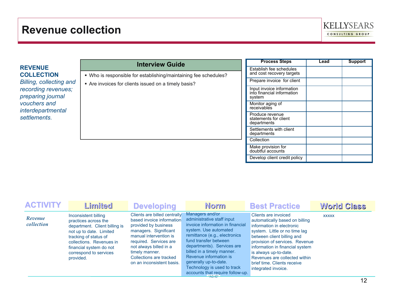

|                                          | <b>Interview Guide</b>                                            | <b>Process Steps</b>                                    | Lead | <b>Support</b> |
|------------------------------------------|-------------------------------------------------------------------|---------------------------------------------------------|------|----------------|
| <b>REVENUE</b><br><b>COLLECTION</b>      | • Who is responsible for establishing/maintaining fee schedules?  | Establish fee schedules<br>and cost recovery targets    |      |                |
| <b>Billing, collecting and</b>           | Are invoices for clients issued on a timely basis?                | Prepare invoice for client                              |      |                |
| recording revenues;<br>preparing journal | Input invoice information<br>into financial information<br>system |                                                         |      |                |
| vouchers and<br>interdepartmental        |                                                                   | Monitor aging of<br>receivables                         |      |                |
| settlements.                             |                                                                   | Produce revenue<br>statements for client<br>departments |      |                |
|                                          |                                                                   | Settlements with client<br>departments                  |      |                |
|                                          |                                                                   | Collection                                              |      |                |
|                                          |                                                                   | Make provision for<br>doubtful accounts                 |      |                |
|                                          |                                                                   | Develop client credit policy                            |      |                |

| <b>ACTIVITY</b>       | Limited                                                                                                                                                                                                                         | <b>Developing</b>                                                                                                                                                                                                                                                  | <b>Norm</b>                                                                                                                                                                                                                                                                                                                                            | <b>Best Practice</b>                                                                                                                                                                                                                                                                                                                    | <b>World Class</b> |
|-----------------------|---------------------------------------------------------------------------------------------------------------------------------------------------------------------------------------------------------------------------------|--------------------------------------------------------------------------------------------------------------------------------------------------------------------------------------------------------------------------------------------------------------------|--------------------------------------------------------------------------------------------------------------------------------------------------------------------------------------------------------------------------------------------------------------------------------------------------------------------------------------------------------|-----------------------------------------------------------------------------------------------------------------------------------------------------------------------------------------------------------------------------------------------------------------------------------------------------------------------------------------|--------------------|
| Revenue<br>collection | Inconsistent billing<br>practices across the<br>department. Client billing is<br>not up to date. Limited<br>tracking of status of<br>collections. Revenues in<br>financial system do not<br>correspond to services<br>provided. | Clients are billed centrally<br>based invoice information<br>provided by business<br>managers. Significant<br>manual intervention is<br>required. Services are<br>not always billed in a<br>timely manner.<br>Collections are tracked<br>on an inconsistent basis. | Managers and/or<br>administrative staff input<br>invoice information in financial<br>system. Use automated<br>remittance (e.g., electronics<br>fund transfer between<br>departments). Services are<br>billed in a timely manner.<br>Revenue information is<br>generally up-to-date.<br>Technology is used to track<br>accounts that require follow-up. | Clients are invoiced<br>automatically based on billing<br>information in electronic<br>system. Little or no time lag<br>between client billing and<br>provision of services. Revenue<br>information in financial system<br>is always up-to-date.<br>Revenues are collected within<br>brief time. Clients receive<br>integrated invoice. | <b>XXXXX</b>       |
|                       |                                                                                                                                                                                                                                 |                                                                                                                                                                                                                                                                    |                                                                                                                                                                                                                                                                                                                                                        |                                                                                                                                                                                                                                                                                                                                         | 12                 |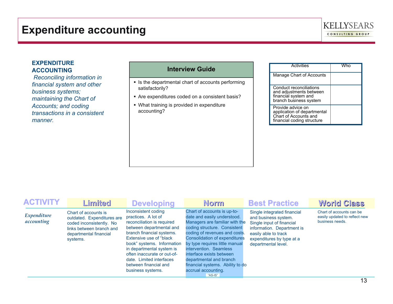

## **ACCOUNTING**

- **In Is the departmental chart of accounts performing** satisfactorily?
- Are expenditures coded on a consistent basis?
- What training is provided in expenditure accounting?

| <b>EXPENDITURE</b><br><b>ACCOUNTING</b><br>Reconciling information in                               | <b>Interview Guide</b>                                                                                                                                               | <b>Activities</b><br>Manage Chart of Accounts                                                                             | <b>Who</b> |
|-----------------------------------------------------------------------------------------------------|----------------------------------------------------------------------------------------------------------------------------------------------------------------------|---------------------------------------------------------------------------------------------------------------------------|------------|
| financial system and other<br>business systems;<br>maintaining the Chart of<br>Accounts; and coding | • Is the departmental chart of accounts performing<br>satisfactorily?<br>Are expenditures coded on a consistent basis?<br>• What training is provided in expenditure | Conduct reconciliations<br>and adjustments between<br>financial system and<br>branch business system<br>Provide advice on |            |
| transactions in a consistent<br>manner.                                                             | accounting?                                                                                                                                                          | application of departmental<br>Chart of Accounts and<br>financial coding structure                                        |            |

| <b>ACTIVITY</b>           | Limited                                                                                                                                          | <b>Developing</b>                                                                                                                                                                                                                                                                                                                 | <b>Norm</b>                                                                                                                                                                                                                                                                                                                                                                                    | <b>Best Practice</b>                                                                                                                                                                       | <b>World Class</b>                                                           |
|---------------------------|--------------------------------------------------------------------------------------------------------------------------------------------------|-----------------------------------------------------------------------------------------------------------------------------------------------------------------------------------------------------------------------------------------------------------------------------------------------------------------------------------|------------------------------------------------------------------------------------------------------------------------------------------------------------------------------------------------------------------------------------------------------------------------------------------------------------------------------------------------------------------------------------------------|--------------------------------------------------------------------------------------------------------------------------------------------------------------------------------------------|------------------------------------------------------------------------------|
| Expenditure<br>accounting | Chart of accounts is<br>outdated. Expenditures are<br>coded inconsistently. No<br>links between branch and<br>departmental financial<br>systems. | Inconsistent coding<br>practices. A lot of<br>reconciliation is required<br>between departmental and<br>branch financial systems.<br>Extensive use of "black"<br>book" systems. Information<br>in departmental system is<br>often inaccurate or out-of-<br>date. Limited interfaces<br>between financial and<br>business systems. | Chart of accounts is up-to-<br>date and easily understood.<br>Managers are familiar with the<br>coding structure. Consistent<br>coding of revenues and costs.<br><b>Consolidation of expenditures</b><br>by type requires little manual<br>intervention. Seamless<br>interface exists between<br>departmental and branch<br>financial systems. Ability to do<br>accrual accounting.<br>"AS-IS" | Single integrated financial<br>and business system.<br>Single input of financial<br>information. Department is<br>easily able to track<br>expenditures by type at a<br>departmental level. | Chart of accounts can be<br>easily updated to reflect new<br>business needs. |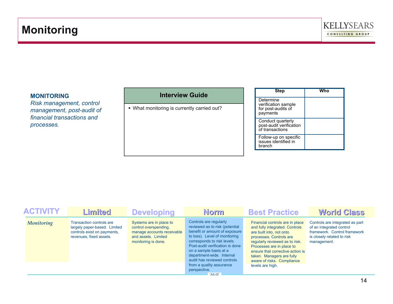

#### **MONITORING**

*Risk management, control management, post-audit of financial transactions and processes.*

#### **Interview Guide**

What monitoring is currently carried out?

| <b>Step</b>                                                        | Who |
|--------------------------------------------------------------------|-----|
| Determine<br>verification sample<br>for post-audits of<br>payments |     |
| Conduct quarterly<br>post-audit verification<br>of transactions    |     |
| Follow-up on specific<br>issues identified in<br>branch            |     |

| <b>ACTIVITY</b>   | Limited                                                                                                                   | <b>Developing</b>                                                                                                            | <b>Norm</b>                                                                                                                                                                                                                                                                                                                                 | <b>Best Practice</b>                                                                                                                                                                                                                                                                                       | <b>World Class</b>                                                                                                                       |
|-------------------|---------------------------------------------------------------------------------------------------------------------------|------------------------------------------------------------------------------------------------------------------------------|---------------------------------------------------------------------------------------------------------------------------------------------------------------------------------------------------------------------------------------------------------------------------------------------------------------------------------------------|------------------------------------------------------------------------------------------------------------------------------------------------------------------------------------------------------------------------------------------------------------------------------------------------------------|------------------------------------------------------------------------------------------------------------------------------------------|
| <b>Monitoring</b> | <b>Transaction controls are</b><br>largely paper-based. Limited<br>controls exist on payments.<br>revenues, fixed assets. | Systems are in place to<br>control overspending,<br>manage accounts receivable<br>and assets. Limited<br>monitoring is done. | Controls are regularly<br>reviewed as to risk (potential<br>benefit or amount of exposure<br>to loss). Level of monitoring<br>corresponds to risk levels.<br>Post-audit verification is done<br>on a sample basis at a<br>department-wide. Internal<br>audit has reviewed controls<br>from a quality assurance<br>perspective.<br>$ASS-S''$ | Financial controls are in place<br>and fully integrated. Controls<br>are built into, not onto<br>processes. Controls are<br>regularly reviewed as to risk.<br>Processes are in place to<br>ensure that corrective action is<br>taken. Managers are fully<br>aware of risks. Compliance<br>levels are high. | Controls are integrated as part<br>of an integrated control<br>framework. Control framework<br>is closely related to risk<br>management. |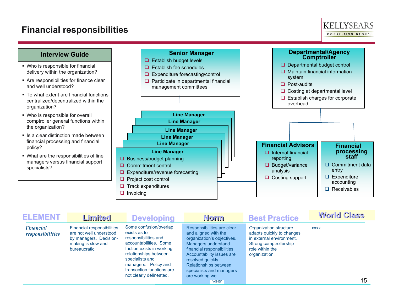### **Financial responsibilities**





| <b>ELEMENT</b>                       | Limited                                                                                                                       | <b>Developing</b>                                                                                                                                                                                                                                  | Norm                                                                                                                                                                                                                                                                          | <b>Best Practice</b>                                                                                                                          | <b>World Class</b> |
|--------------------------------------|-------------------------------------------------------------------------------------------------------------------------------|----------------------------------------------------------------------------------------------------------------------------------------------------------------------------------------------------------------------------------------------------|-------------------------------------------------------------------------------------------------------------------------------------------------------------------------------------------------------------------------------------------------------------------------------|-----------------------------------------------------------------------------------------------------------------------------------------------|--------------------|
| <b>Financial</b><br>responsibilities | <b>Financial responsibilities</b><br>are not well understood<br>by managers. Decision-<br>making is slow and<br>bureaucratic. | Some confusion/overlap<br>exists as to<br>responsibilities and<br>accountabilities. Some<br>friction exists in working<br>relationships between<br>specialists and<br>managers. Policy and<br>transaction functions are<br>not clearly delineated. | Responsibilities are clear<br>and aligned with the<br>organization's objectives.<br>Managers understand<br>financial responsibilities.<br>Accountability issues are<br>resolved quickly.<br>Relationships between<br>specialists and managers<br>are working well.<br>"AS-IS" | Organization structure<br>adapts quickly to changes<br>in external environment.<br>Strong comptrollership<br>role within the<br>organization. | <b>XXXX</b><br>15  |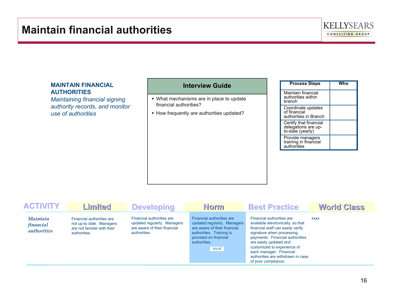### **Maintain financial authorities**



#### **MAINTAIN FINANCIAL AUTHORITIES**

*Maintaining financial signing authority records, and monitor use of authorities*

- What mechanisms are in place to update financial authorities?
- How frequently are authorities updated?

| <b>Process Steps</b>                                              | Who |
|-------------------------------------------------------------------|-----|
| Maintain financial<br>authorities within<br>branch                |     |
| Coordinate updates<br>of financial<br>authorities in Branch       |     |
| Certify that financial<br>delegations are up-<br>to-date (yearly) |     |
| Provide managers<br>training in financial<br>authorities          |     |

| <b>ACTIVITY</b>                                    | Limited                                                                                              | <b>Developing</b>                                                                                        | <b>Norm</b>                                                                                                                                                              | <b>Best Practice</b>                                                                                                                                                                                                                                                                                                | <b>World Class</b> |
|----------------------------------------------------|------------------------------------------------------------------------------------------------------|----------------------------------------------------------------------------------------------------------|--------------------------------------------------------------------------------------------------------------------------------------------------------------------------|---------------------------------------------------------------------------------------------------------------------------------------------------------------------------------------------------------------------------------------------------------------------------------------------------------------------|--------------------|
| <i>Maintain</i><br>financial<br><i>authorities</i> | Financial authorities are<br>not up-to date. Managers<br>are not familiar with their<br>authorities. | Financial authorities are<br>updated regularly. Managers<br>are aware of their financial<br>authorities. | Financial authorities are<br>updated regularly. Managers<br>are aware of their financial<br>authorities. Training is<br>provided on financial<br>authorities.<br>"AS-IS" | Financial authorities are<br>available electronically, so that<br>financial staff can easily verify<br>signature when processing<br>payments. Financial authorities<br>are easily updated and<br>customized to experience of<br>each manager. Financial<br>authorities are withdrawn in case<br>of poor compliance. | <b>XXXX</b>        |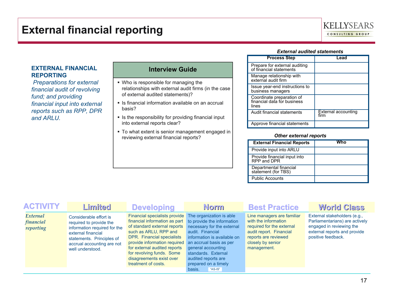

#### *External audited statements*

#### **EXTERNAL FINANCIAL REPORTING**

 *Preparations for external financial audit of revolving fund; and providing financial input into external reports such as RPP, DPR and ARLU.*

#### **Interview Guide**

 Who is responsible for managing the relationships with external audit firms (in the case of external audited statements)?

Inter Is financial information available on an accrual basis?

**In the responsibility for providing financial input** into external reports clear?

 $\blacksquare$  To what extent is senior management engaged in reviewing external financial reports?

| <b>Process Step</b>                                               | ∟ead                        |
|-------------------------------------------------------------------|-----------------------------|
| Prepare for external auditing<br>of financial statements          |                             |
| Manage relationship with<br>external audit firm                   |                             |
| Issue year-end instructions to<br>business managers               |                             |
| Coordinate preparation of<br>financial data for business<br>lines |                             |
| Audit financial statements                                        | External accounting<br>firm |
| Approve financial statements                                      |                             |

#### *Other external reports*

| <b>External Financial Reports</b>             | Mho |
|-----------------------------------------------|-----|
| Provide input into ARLU                       |     |
| Provide financial input into<br>RPP and DPR   |     |
| Departmental financial<br>statement (for TBS) |     |
| <b>Public Accounts</b>                        |     |

| <b>ACTIVITY</b>                    | Limited                                                                                                                                                                                | <b>Developing</b>                                                                                                                                                                                                                                                                                                                | <b>Norm</b>                                                                                                                                                                                                                      | <b>Best Practice</b>                                                                                                                                                   | <b>World Class</b>                                                                                                                               |
|------------------------------------|----------------------------------------------------------------------------------------------------------------------------------------------------------------------------------------|----------------------------------------------------------------------------------------------------------------------------------------------------------------------------------------------------------------------------------------------------------------------------------------------------------------------------------|----------------------------------------------------------------------------------------------------------------------------------------------------------------------------------------------------------------------------------|------------------------------------------------------------------------------------------------------------------------------------------------------------------------|--------------------------------------------------------------------------------------------------------------------------------------------------|
| External<br>financial<br>reporting | Considerable effort is<br>required to provide the<br>information required for the<br>external financial<br>statements. Principles of<br>accrual accounting are not<br>well understood. | Financial specialists provide<br>financial information as part to provide the information<br>of standard external reports<br>such as ARLU, RPP and<br>DPR. Financial specialists<br>provide information required<br>for external audited reports<br>for revolving funds. Some<br>disagreements exist over<br>treatment of costs. | The organization is able<br>necessary for the external<br>audit. Financial<br>information is available on<br>an accrual basis as per<br>general accounting<br>standards. External<br>audited reports are<br>prepared on a timely | Line managers are familiar<br>with the information<br>required for the external<br>audit report. Financial<br>reports are reviewed<br>closely by senior<br>management. | External stakeholders (e.g.,<br>Parliamentarians) are actively<br>engaged in reviewing the<br>external reports and provide<br>positive feedback. |
|                                    |                                                                                                                                                                                        |                                                                                                                                                                                                                                                                                                                                  | "AS-IS"<br>basis.                                                                                                                                                                                                                |                                                                                                                                                                        |                                                                                                                                                  |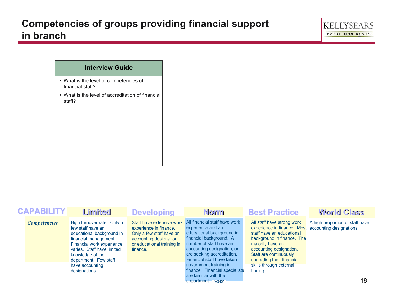### **Competencies of groups providing financial support in branch**

### **Interview Guide**

- What is the level of competencies of financial staff?
- What is the level of accreditation of financial staff?

| <b>CAPABILITY</b> | Limited                                                                                                                                                                                                       | <b>Developing</b>                                                                                                       | <b>Norm</b>                                                                                                                                                                                                                                               | <b>Best Practice</b>                                                                                                                                                                                                                                | <b>World Class</b>              |
|-------------------|---------------------------------------------------------------------------------------------------------------------------------------------------------------------------------------------------------------|-------------------------------------------------------------------------------------------------------------------------|-----------------------------------------------------------------------------------------------------------------------------------------------------------------------------------------------------------------------------------------------------------|-----------------------------------------------------------------------------------------------------------------------------------------------------------------------------------------------------------------------------------------------------|---------------------------------|
| Competencies      | High turnover rate. Only a<br>few staff have an<br>educational background in<br>financial management.<br>Financial work experience<br>varies. Staff have limited<br>knowledge of the<br>department. Few staff | experience in finance.<br>Only a few staff have an<br>accounting designation,<br>or educational training in<br>finance. | Staff have extensive work All financial staff have work<br>experience and an<br>educational background in<br>financial background. A<br>number of staff have an<br>accounting designation, or<br>are seeking accreditation.<br>Financial staff have taken | All staff have strong work<br>experience in finance. Most accounting designations.<br>staff have an educational<br>background in finance. The<br>majority have an<br>accounting designation.<br>Staff are continuously<br>upgrading their financial | A high proportion of staff have |
|                   | have accounting<br>designations.                                                                                                                                                                              |                                                                                                                         | government training in<br>finance. Financial specialists<br>are familiar with the<br>department. "AS-IS"                                                                                                                                                  | skills through external<br>training.                                                                                                                                                                                                                | 18                              |

**KELLYSEARS** CONSULTING GROUP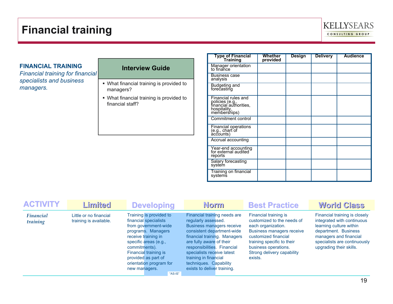### **Financial training**



#### **FINANCIAL TRAINING**

*Financial training for financial specialists and business*

- specialists and business<br> **managers.**<br> **e** What financial training is provided to<br>
managers? managers?
	- What financial training is provided to financial staff?

| <b>Type of Financial</b><br>Training                                                             | Whether<br>provided | <b>Design</b> | <b>Delivery</b> | <b>Audience</b> |
|--------------------------------------------------------------------------------------------------|---------------------|---------------|-----------------|-----------------|
| Manager orientation<br>to finance                                                                |                     |               |                 |                 |
| <b>Business case</b><br>analysis                                                                 |                     |               |                 |                 |
| Budgeting and<br>forecasting                                                                     |                     |               |                 |                 |
| Financial rules and<br>policies (e.g.,<br>financial authorities,<br>hospitality,<br>memberships) |                     |               |                 |                 |
| <b>Commitment control</b>                                                                        |                     |               |                 |                 |
| Financial operations<br>(e.g., chart of<br>accounts)                                             |                     |               |                 |                 |
| Accrual accounting                                                                               |                     |               |                 |                 |
| Year-end accounting<br>for external audited<br>reports                                           |                     |               |                 |                 |
| Salary forecasting<br>system                                                                     |                     |               |                 |                 |
| Training on financial<br>systems                                                                 |                     |               |                 |                 |

| <b>ACTIVITY</b>              | Limited                                          | <b>Developing</b>                                                                                                                                                                                                                                                      | <b>Norm</b>                                                                                                                                                                                                                                                                                                                      | <b>Best Practice</b>                                                                                                                                                                                                          | <b>World Class</b>                                                                                                                                                                                  |
|------------------------------|--------------------------------------------------|------------------------------------------------------------------------------------------------------------------------------------------------------------------------------------------------------------------------------------------------------------------------|----------------------------------------------------------------------------------------------------------------------------------------------------------------------------------------------------------------------------------------------------------------------------------------------------------------------------------|-------------------------------------------------------------------------------------------------------------------------------------------------------------------------------------------------------------------------------|-----------------------------------------------------------------------------------------------------------------------------------------------------------------------------------------------------|
| <b>Financial</b><br>training | Little or no financial<br>training is available. | Training is provided to<br>financial specialists<br>from government-wide<br>programs. Managers<br>receive training in<br>specific areas (e.g.,<br>commitments).<br>Financial training is<br>provided as part of<br>orientation program for<br>new managers.<br>"AS-IS" | Financial training needs are<br>regularly assessed.<br><b>Business managers receive</b><br>consistent department-wide<br>financial training. Managers<br>are fully aware of their<br>responsibilities. Financial<br>specialists receive latest<br>training in financial<br>techniques. Capability<br>exists to deliver training. | Financial training is<br>customized to the needs of<br>each organization.<br>Business managers receive<br>customized financial<br>training specific to their<br>business operations.<br>Strong delivery capability<br>exists. | Financial training is closely<br>integrated with continuous<br>learning culture within<br>department. Business<br>managers and financial<br>specialists are continuously<br>upgrading their skills. |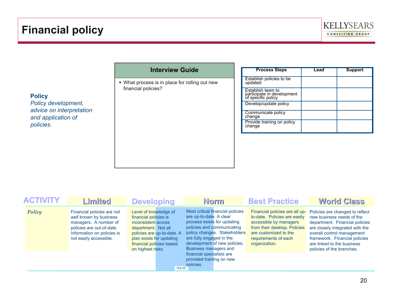

### **Interview Guide**

**What process is in place for rolling out new** financial policies?

| <b>Process Steps</b>                                                  | Lead | <b>Support</b> |
|-----------------------------------------------------------------------|------|----------------|
| Establish policies to be<br>updated                                   |      |                |
| Establish team to<br>participate in development<br>of specific policy |      |                |
| Develop/update policy                                                 |      |                |
| Communicate policy<br>change                                          |      |                |
| Provide training on policy<br>change                                  |      |                |

| <b>ACTIVITY</b> | Limited                                                                                                                                                            | <b>Developing</b>                                                                                                                                                                                                  | <b>Norm</b>                                                                                                                                                                                                                                                                                                         | <b>Best Practice</b>                                                                                                                                                                       | <b>World Class</b>                                                                                                                                                                                                                                          |
|-----------------|--------------------------------------------------------------------------------------------------------------------------------------------------------------------|--------------------------------------------------------------------------------------------------------------------------------------------------------------------------------------------------------------------|---------------------------------------------------------------------------------------------------------------------------------------------------------------------------------------------------------------------------------------------------------------------------------------------------------------------|--------------------------------------------------------------------------------------------------------------------------------------------------------------------------------------------|-------------------------------------------------------------------------------------------------------------------------------------------------------------------------------------------------------------------------------------------------------------|
| Policy          | Financial policies are not<br>well known by business<br>managers. A number of<br>policies are out-of-date.<br>Information on policies is<br>not easily accessible. | Level of knowledge of<br>financial policies is<br>inconsistent across<br>department. Not all<br>policies are up-to-date. A<br>plan exists for updating<br>financial policies based<br>on highest risks.<br>"AS-IS" | Most critical financial policies<br>are up-to-date. A clear<br>process exists for updating<br>policies and communicating<br>policy changes. Stakeholders<br>are fully engaged in the<br>development of new policies.<br>Business managers and<br>financial specialists are<br>provided training on new<br>policies. | Financial policies are all up-<br>to-date. Policies are easily<br>accessible by managers<br>from their desktop. Policies<br>are customized to the<br>requirements of each<br>organization. | Policies are changed to reflect<br>new business needs of the<br>department. Financial policies<br>are closely integrated with the<br>overall control management<br>framework. Financial policies<br>are linked to the business<br>policies of the branches. |

### **Policy**

*Policy development, advice on interpretation and application of policies.*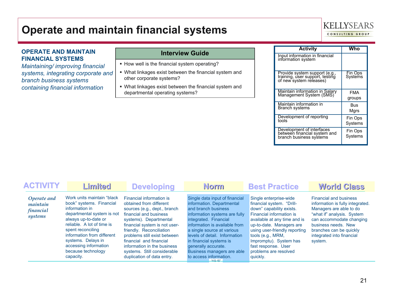### **Operate and maintain financial systems**

### **KELLYSEARS**

CONSULTING GROUP

#### **OPERATE AND MAINTAIN FINANCIAL SYSTEMS**

*Maintaining/ improving financial systems, integrating corporate and branch business systems containing financial information*

- How well is the financial system operating?
- What linkages exist between the financial system and other corporate systems?
- What linkages exist between the financial system and departmental operating systems?

| <b>Activity</b>                                                                             | Who                |
|---------------------------------------------------------------------------------------------|--------------------|
| Input information in financial<br>information system                                        |                    |
| Provide system support (e.g.,<br>training, user support, testing<br>of new system releases) | Fin Ops<br>Systems |
| Maintain information in Salary                                                              | <b>FMA</b>         |
| Management System (SMS)                                                                     | groups             |
| Maintain information in                                                                     | Bus                |
| Branch systems                                                                              | Mars               |
| Development of reporting                                                                    | Fin Ops            |
| tools                                                                                       | Systems            |
| Development of interfaces<br>between financial system and                                   | Fin Ops            |
| branch business systems                                                                     | Systems            |

| <b>ACTIVITY</b>                                 | Limited                                                                                                                                                                                                                                                                                            | <b>Developing</b>                                                                                                                                                                                                                                                                                                                                           | <b>Norm</b>                                                                                                                                                                                                                                                                                                                                                      | <b>Best Practice</b>                                                                                                                                                                                                                                                                                                | <b>World Class</b>                                                                                                                                                                                                                               |
|-------------------------------------------------|----------------------------------------------------------------------------------------------------------------------------------------------------------------------------------------------------------------------------------------------------------------------------------------------------|-------------------------------------------------------------------------------------------------------------------------------------------------------------------------------------------------------------------------------------------------------------------------------------------------------------------------------------------------------------|------------------------------------------------------------------------------------------------------------------------------------------------------------------------------------------------------------------------------------------------------------------------------------------------------------------------------------------------------------------|---------------------------------------------------------------------------------------------------------------------------------------------------------------------------------------------------------------------------------------------------------------------------------------------------------------------|--------------------------------------------------------------------------------------------------------------------------------------------------------------------------------------------------------------------------------------------------|
| Operate and<br>maintain<br>financial<br>systems | Work units maintain "black"<br>book" systems. Financial<br>information in<br>departmental system is not<br>always up-to-date or<br>reliable. A lot of time is<br>spent reconciling<br>information from different<br>systems. Delays in<br>accessing information<br>because technology<br>capacity. | Financial information is<br>obtained from different<br>sources (e.g., dept., branch<br>financial and business<br>systems). Departmental<br>financial system is not user-<br>friendly. Reconciliation<br>problems still exist between<br>financial and financial<br>information in the business<br>systems. Still considerable<br>duplication of data entry. | Single data input of financial<br>information. Departmental<br>and branch business<br>information systems are fully<br>integrated. Financial<br>information is available from<br>a single source at various<br>levels of detail. Information<br>in financial systems is<br>generally accurate.<br>Business managers are able<br>to access information.<br>"ASIS" | Single enterprise-wide<br>financial system. "Drill-<br>down" capability exists.<br>Financial information is<br>available at any time and is<br>up-to-date. Managers are<br>using user-friendly reporting<br>tools (e.g., MRM,<br>Impromptu). System has<br>fast response. User<br>problems are resolved<br>quickly. | <b>Financial and business</b><br>information is fully integrated.<br>Managers are able to do<br>"what if" analysis. System<br>can accommodate changing<br>business needs. New<br>branches can be quickly<br>integrated into financial<br>system. |